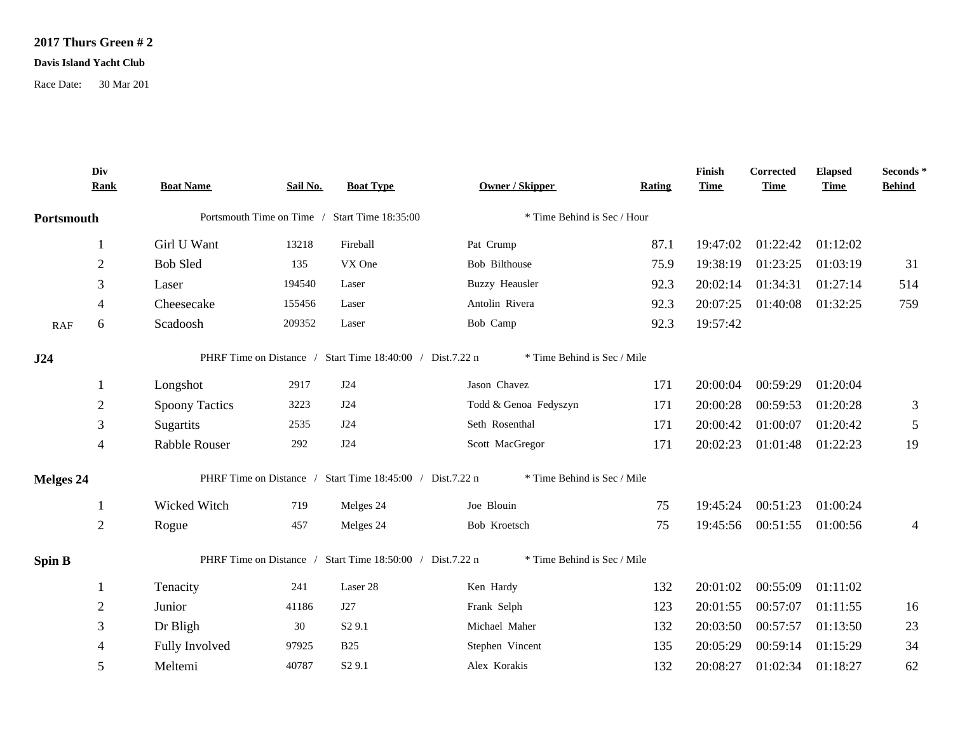## **2017 Thurs Green # 2**

## **Davis Island Yacht Club**

Race Date: 30 Mar 201

|                  | Div<br><b>Rank</b>       | <b>Boat Name</b>                                                                         | Sail No. | <b>Boat Type</b>                                          | <b>Owner / Skipper</b>      | Rating | Finish<br><b>Time</b> | Corrected<br><b>Time</b> | <b>Elapsed</b><br><b>Time</b> | Seconds *<br><b>Behind</b> |  |
|------------------|--------------------------|------------------------------------------------------------------------------------------|----------|-----------------------------------------------------------|-----------------------------|--------|-----------------------|--------------------------|-------------------------------|----------------------------|--|
| Portsmouth       |                          | Portsmouth Time on Time / Start Time 18:35:00                                            |          | * Time Behind is Sec / Hour                               |                             |        |                       |                          |                               |                            |  |
|                  | 1                        | Girl U Want                                                                              | 13218    | Fireball                                                  | Pat Crump                   | 87.1   | 19:47:02              | 01:22:42                 | 01:12:02                      |                            |  |
|                  | $\sqrt{2}$               | <b>Bob Sled</b>                                                                          | 135      | VX One                                                    | Bob Bilthouse               | 75.9   | 19:38:19              | 01:23:25                 | 01:03:19                      | 31                         |  |
|                  | 3                        | Laser                                                                                    | 194540   | Laser                                                     | <b>Buzzy Heausler</b>       | 92.3   | 20:02:14              | 01:34:31                 | 01:27:14                      | 514                        |  |
|                  | $\overline{\mathcal{A}}$ | Cheesecake                                                                               | 155456   | Laser                                                     | Antolin Rivera              | 92.3   | 20:07:25              | 01:40:08                 | 01:32:25                      | 759                        |  |
| <b>RAF</b>       | 6                        | Scadoosh                                                                                 | 209352   | Laser                                                     | Bob Camp                    | 92.3   | 19:57:42              |                          |                               |                            |  |
| J24              |                          |                                                                                          |          | PHRF Time on Distance / Start Time 18:40:00 / Dist.7.22 n | * Time Behind is Sec / Mile |        |                       |                          |                               |                            |  |
|                  | 1                        | Longshot                                                                                 | 2917     | J24                                                       | Jason Chavez                | 171    | 20:00:04              | 00:59:29                 | 01:20:04                      |                            |  |
|                  | $\mathbf{2}$             | <b>Spoony Tactics</b>                                                                    | 3223     | J24                                                       | Todd & Genoa Fedyszyn       | 171    | 20:00:28              | 00:59:53                 | 01:20:28                      | 3                          |  |
|                  | 3                        | Sugartits                                                                                | 2535     | J24                                                       | Seth Rosenthal              | 171    | 20:00:42              | 01:00:07                 | 01:20:42                      | $\mathfrak{S}$             |  |
|                  | $\overline{\mathcal{A}}$ | Rabble Rouser                                                                            | 292      | J24                                                       | Scott MacGregor             | 171    | 20:02:23              | 01:01:48                 | 01:22:23                      | 19                         |  |
| <b>Melges 24</b> |                          |                                                                                          |          | PHRF Time on Distance / Start Time 18:45:00 / Dist.7.22 n | * Time Behind is Sec / Mile |        |                       |                          |                               |                            |  |
|                  | 1                        | Wicked Witch                                                                             | 719      | Melges 24                                                 | Joe Blouin                  | 75     | 19:45:24              | 00:51:23                 | 01:00:24                      |                            |  |
|                  | $\sqrt{2}$               | Rogue                                                                                    | 457      | Melges 24                                                 | Bob Kroetsch                | 75     | 19:45:56              | 00:51:55                 | 01:00:56                      | $\overline{4}$             |  |
| <b>Spin B</b>    |                          | PHRF Time on Distance / Start Time 18:50:00 / Dist.7.22 n<br>* Time Behind is Sec / Mile |          |                                                           |                             |        |                       |                          |                               |                            |  |
|                  | 1                        | Tenacity                                                                                 | 241      | Laser 28                                                  | Ken Hardy                   | 132    | 20:01:02              | 00:55:09                 | 01:11:02                      |                            |  |
|                  | $\overline{2}$           | Junior                                                                                   | 41186    | J27                                                       | Frank Selph                 | 123    | 20:01:55              | 00:57:07                 | 01:11:55                      | 16                         |  |
|                  | 3                        | Dr Bligh                                                                                 | 30       | S <sub>2</sub> 9.1                                        | Michael Maher               | 132    | 20:03:50              | 00:57:57                 | 01:13:50                      | 23                         |  |
|                  | 4                        | Fully Involved                                                                           | 97925    | <b>B25</b>                                                | Stephen Vincent             | 135    | 20:05:29              | 00:59:14                 | 01:15:29                      | 34                         |  |
|                  | 5                        | Meltemi                                                                                  | 40787    | S <sub>2</sub> 9.1                                        | Alex Korakis                | 132    | 20:08:27              | 01:02:34                 | 01:18:27                      | 62                         |  |